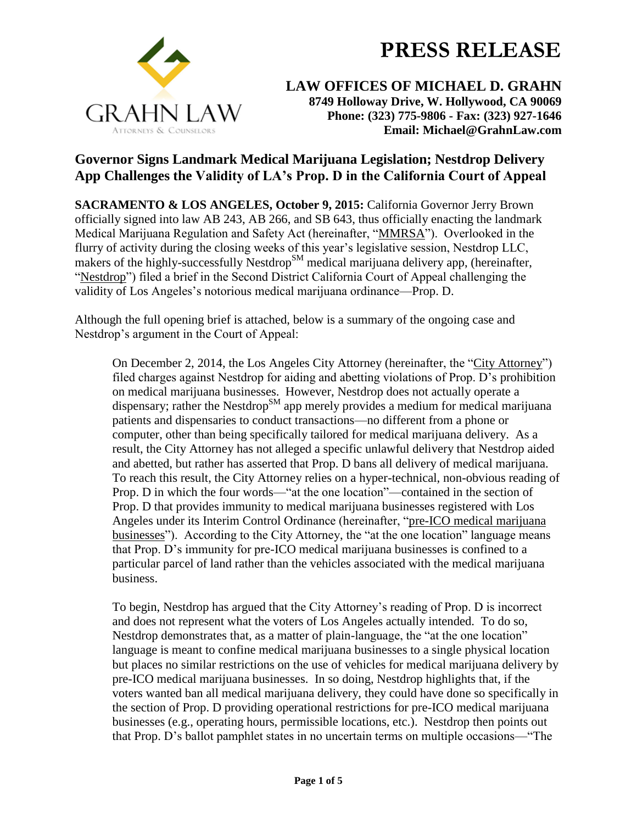

**LAW OFFICES OF MICHAEL D. GRAHN 8749 Holloway Drive, W. Hollywood, CA 90069 Phone: (323) 775-9806 - Fax: (323) 927-1646 Email: Michael@GrahnLaw.com**

## **Governor Signs Landmark Medical Marijuana Legislation; Nestdrop Delivery App Challenges the Validity of LA's Prop. D in the California Court of Appeal**

**SACRAMENTO & LOS ANGELES, October 9, 2015:** California Governor Jerry Brown officially signed into law AB 243, AB 266, and SB 643, thus officially enacting the landmark Medical Marijuana Regulation and Safety Act (hereinafter, "MMRSA"). Overlooked in the flurry of activity during the closing weeks of this year's legislative session, Nestdrop LLC, makers of the highly-successfully Nestdrop<sup>SM</sup> medical marijuana delivery app, (hereinafter, "Nestdrop") filed a brief in the Second District California Court of Appeal challenging the validity of Los Angeles's notorious medical marijuana ordinance—Prop. D.

Although the full opening brief is attached, below is a summary of the ongoing case and Nestdrop's argument in the Court of Appeal:

On December 2, 2014, the Los Angeles City Attorney (hereinafter, the "City Attorney") filed charges against Nestdrop for aiding and abetting violations of Prop. D's prohibition on medical marijuana businesses. However, Nestdrop does not actually operate a dispensary; rather the Nestdrop<sup>SM</sup> app merely provides a medium for medical marijuana patients and dispensaries to conduct transactions—no different from a phone or computer, other than being specifically tailored for medical marijuana delivery. As a result, the City Attorney has not alleged a specific unlawful delivery that Nestdrop aided and abetted, but rather has asserted that Prop. D bans all delivery of medical marijuana. To reach this result, the City Attorney relies on a hyper-technical, non-obvious reading of Prop. D in which the four words—"at the one location"—contained in the section of Prop. D that provides immunity to medical marijuana businesses registered with Los Angeles under its Interim Control Ordinance (hereinafter, "pre-ICO medical marijuana businesses"). According to the City Attorney, the "at the one location" language means that Prop. D's immunity for pre-ICO medical marijuana businesses is confined to a particular parcel of land rather than the vehicles associated with the medical marijuana business.

To begin, Nestdrop has argued that the City Attorney's reading of Prop. D is incorrect and does not represent what the voters of Los Angeles actually intended. To do so, Nestdrop demonstrates that, as a matter of plain-language, the "at the one location" language is meant to confine medical marijuana businesses to a single physical location but places no similar restrictions on the use of vehicles for medical marijuana delivery by pre-ICO medical marijuana businesses. In so doing, Nestdrop highlights that, if the voters wanted ban all medical marijuana delivery, they could have done so specifically in the section of Prop. D providing operational restrictions for pre-ICO medical marijuana businesses (e.g., operating hours, permissible locations, etc.). Nestdrop then points out that Prop. D's ballot pamphlet states in no uncertain terms on multiple occasions—"The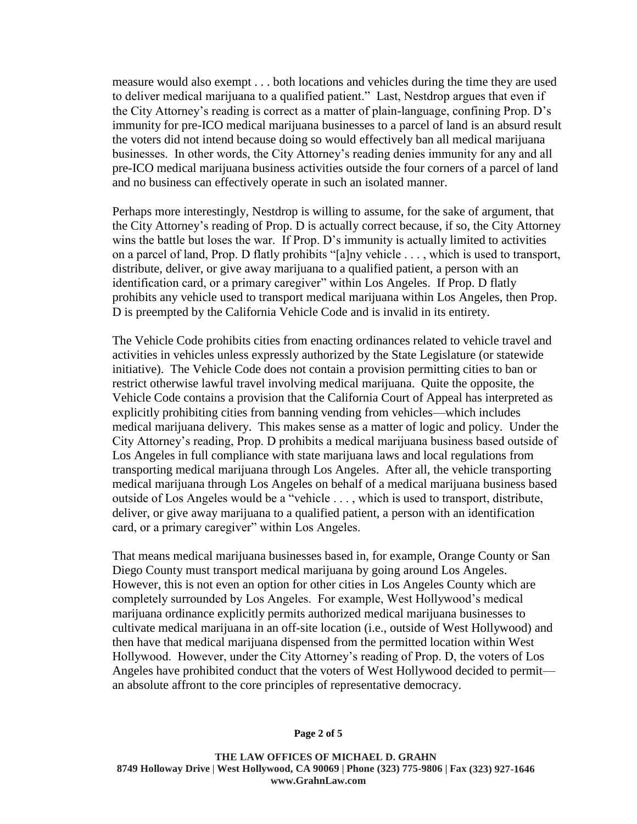measure would also exempt . . . both locations and vehicles during the time they are used to deliver medical marijuana to a qualified patient." Last, Nestdrop argues that even if the City Attorney's reading is correct as a matter of plain-language, confining Prop. D's immunity for pre-ICO medical marijuana businesses to a parcel of land is an absurd result the voters did not intend because doing so would effectively ban all medical marijuana businesses. In other words, the City Attorney's reading denies immunity for any and all pre-ICO medical marijuana business activities outside the four corners of a parcel of land and no business can effectively operate in such an isolated manner.

Perhaps more interestingly, Nestdrop is willing to assume, for the sake of argument, that the City Attorney's reading of Prop. D is actually correct because, if so, the City Attorney wins the battle but loses the war. If Prop. D's immunity is actually limited to activities on a parcel of land, Prop. D flatly prohibits "[a]ny vehicle . . . , which is used to transport, distribute, deliver, or give away marijuana to a qualified patient, a person with an identification card, or a primary caregiver" within Los Angeles. If Prop. D flatly prohibits any vehicle used to transport medical marijuana within Los Angeles, then Prop. D is preempted by the California Vehicle Code and is invalid in its entirety.

The Vehicle Code prohibits cities from enacting ordinances related to vehicle travel and activities in vehicles unless expressly authorized by the State Legislature (or statewide initiative). The Vehicle Code does not contain a provision permitting cities to ban or restrict otherwise lawful travel involving medical marijuana. Quite the opposite, the Vehicle Code contains a provision that the California Court of Appeal has interpreted as explicitly prohibiting cities from banning vending from vehicles—which includes medical marijuana delivery. This makes sense as a matter of logic and policy. Under the City Attorney's reading, Prop. D prohibits a medical marijuana business based outside of Los Angeles in full compliance with state marijuana laws and local regulations from transporting medical marijuana through Los Angeles. After all, the vehicle transporting medical marijuana through Los Angeles on behalf of a medical marijuana business based outside of Los Angeles would be a "vehicle . . . , which is used to transport, distribute, deliver, or give away marijuana to a qualified patient, a person with an identification card, or a primary caregiver" within Los Angeles.

That means medical marijuana businesses based in, for example, Orange County or San Diego County must transport medical marijuana by going around Los Angeles. However, this is not even an option for other cities in Los Angeles County which are completely surrounded by Los Angeles. For example, West Hollywood's medical marijuana ordinance explicitly permits authorized medical marijuana businesses to cultivate medical marijuana in an off-site location (i.e., outside of West Hollywood) and then have that medical marijuana dispensed from the permitted location within West Hollywood. However, under the City Attorney's reading of Prop. D, the voters of Los Angeles have prohibited conduct that the voters of West Hollywood decided to permit an absolute affront to the core principles of representative democracy.

**THE LAW OFFICES OF MICHAEL D. GRAHN 8749 Holloway Drive** | **West Hollywood, CA 90069 | Phone (323) 775-9806 | Fax (323) 927-1646 www.GrahnLaw.com**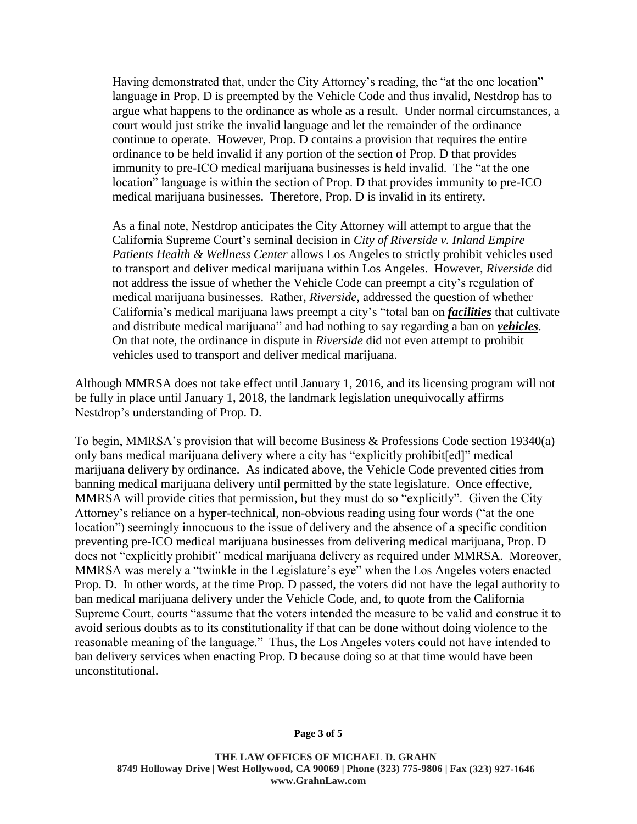Having demonstrated that, under the City Attorney's reading, the "at the one location" language in Prop. D is preempted by the Vehicle Code and thus invalid, Nestdrop has to argue what happens to the ordinance as whole as a result. Under normal circumstances, a court would just strike the invalid language and let the remainder of the ordinance continue to operate. However, Prop. D contains a provision that requires the entire ordinance to be held invalid if any portion of the section of Prop. D that provides immunity to pre-ICO medical marijuana businesses is held invalid. The "at the one location" language is within the section of Prop. D that provides immunity to pre-ICO medical marijuana businesses. Therefore, Prop. D is invalid in its entirety.

As a final note, Nestdrop anticipates the City Attorney will attempt to argue that the California Supreme Court's seminal decision in *City of Riverside v. Inland Empire Patients Health & Wellness Center* allows Los Angeles to strictly prohibit vehicles used to transport and deliver medical marijuana within Los Angeles. However, *Riverside* did not address the issue of whether the Vehicle Code can preempt a city's regulation of medical marijuana businesses. Rather, *Riverside*, addressed the question of whether California's medical marijuana laws preempt a city's "total ban on *facilities* that cultivate and distribute medical marijuana" and had nothing to say regarding a ban on *vehicles*. On that note, the ordinance in dispute in *Riverside* did not even attempt to prohibit vehicles used to transport and deliver medical marijuana.

Although MMRSA does not take effect until January 1, 2016, and its licensing program will not be fully in place until January 1, 2018, the landmark legislation unequivocally affirms Nestdrop's understanding of Prop. D.

To begin, MMRSA's provision that will become Business & Professions Code section 19340(a) only bans medical marijuana delivery where a city has "explicitly prohibit[ed]" medical marijuana delivery by ordinance. As indicated above, the Vehicle Code prevented cities from banning medical marijuana delivery until permitted by the state legislature. Once effective, MMRSA will provide cities that permission, but they must do so "explicitly". Given the City Attorney's reliance on a hyper-technical, non-obvious reading using four words ("at the one location") seemingly innocuous to the issue of delivery and the absence of a specific condition preventing pre-ICO medical marijuana businesses from delivering medical marijuana, Prop. D does not "explicitly prohibit" medical marijuana delivery as required under MMRSA. Moreover, MMRSA was merely a "twinkle in the Legislature's eye" when the Los Angeles voters enacted Prop. D. In other words, at the time Prop. D passed, the voters did not have the legal authority to ban medical marijuana delivery under the Vehicle Code, and, to quote from the California Supreme Court, courts "assume that the voters intended the measure to be valid and construe it to avoid serious doubts as to its constitutionality if that can be done without doing violence to the reasonable meaning of the language." Thus, the Los Angeles voters could not have intended to ban delivery services when enacting Prop. D because doing so at that time would have been unconstitutional.

**THE LAW OFFICES OF MICHAEL D. GRAHN 8749 Holloway Drive** | **West Hollywood, CA 90069 | Phone (323) 775-9806 | Fax (323) 927-1646 www.GrahnLaw.com**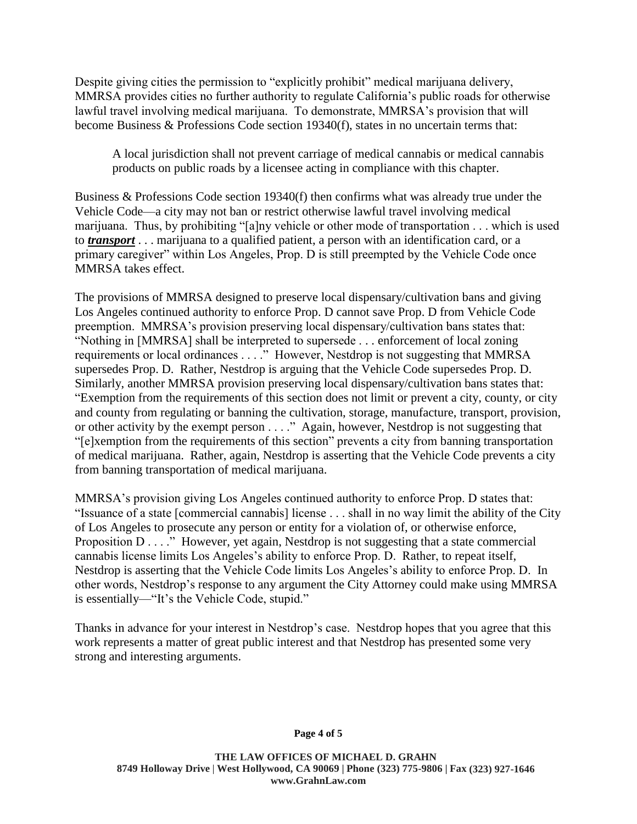Despite giving cities the permission to "explicitly prohibit" medical marijuana delivery, MMRSA provides cities no further authority to regulate California's public roads for otherwise lawful travel involving medical marijuana. To demonstrate, MMRSA's provision that will become Business & Professions Code section 19340(f), states in no uncertain terms that:

A local jurisdiction shall not prevent carriage of medical cannabis or medical cannabis products on public roads by a licensee acting in compliance with this chapter.

Business & Professions Code section 19340(f) then confirms what was already true under the Vehicle Code—a city may not ban or restrict otherwise lawful travel involving medical marijuana. Thus, by prohibiting "[a]ny vehicle or other mode of transportation . . . which is used to *transport* . . . marijuana to a qualified patient, a person with an identification card, or a primary caregiver" within Los Angeles, Prop. D is still preempted by the Vehicle Code once MMRSA takes effect.

The provisions of MMRSA designed to preserve local dispensary/cultivation bans and giving Los Angeles continued authority to enforce Prop. D cannot save Prop. D from Vehicle Code preemption. MMRSA's provision preserving local dispensary/cultivation bans states that: "Nothing in [MMRSA] shall be interpreted to supersede . . . enforcement of local zoning requirements or local ordinances . . . ." However, Nestdrop is not suggesting that MMRSA supersedes Prop. D. Rather, Nestdrop is arguing that the Vehicle Code supersedes Prop. D. Similarly, another MMRSA provision preserving local dispensary/cultivation bans states that: "Exemption from the requirements of this section does not limit or prevent a city, county, or city and county from regulating or banning the cultivation, storage, manufacture, transport, provision, or other activity by the exempt person . . . ." Again, however, Nestdrop is not suggesting that "[e]xemption from the requirements of this section" prevents a city from banning transportation of medical marijuana. Rather, again, Nestdrop is asserting that the Vehicle Code prevents a city from banning transportation of medical marijuana.

MMRSA's provision giving Los Angeles continued authority to enforce Prop. D states that: "Issuance of a state [commercial cannabis] license . . . shall in no way limit the ability of the City of Los Angeles to prosecute any person or entity for a violation of, or otherwise enforce, Proposition D . . . ." However, yet again, Nestdrop is not suggesting that a state commercial cannabis license limits Los Angeles's ability to enforce Prop. D. Rather, to repeat itself, Nestdrop is asserting that the Vehicle Code limits Los Angeles's ability to enforce Prop. D. In other words, Nestdrop's response to any argument the City Attorney could make using MMRSA is essentially—"It's the Vehicle Code, stupid."

Thanks in advance for your interest in Nestdrop's case. Nestdrop hopes that you agree that this work represents a matter of great public interest and that Nestdrop has presented some very strong and interesting arguments.

## **Page 4 of 5**

**THE LAW OFFICES OF MICHAEL D. GRAHN 8749 Holloway Drive** | **West Hollywood, CA 90069 | Phone (323) 775-9806 | Fax (323) 927-1646 www.GrahnLaw.com**